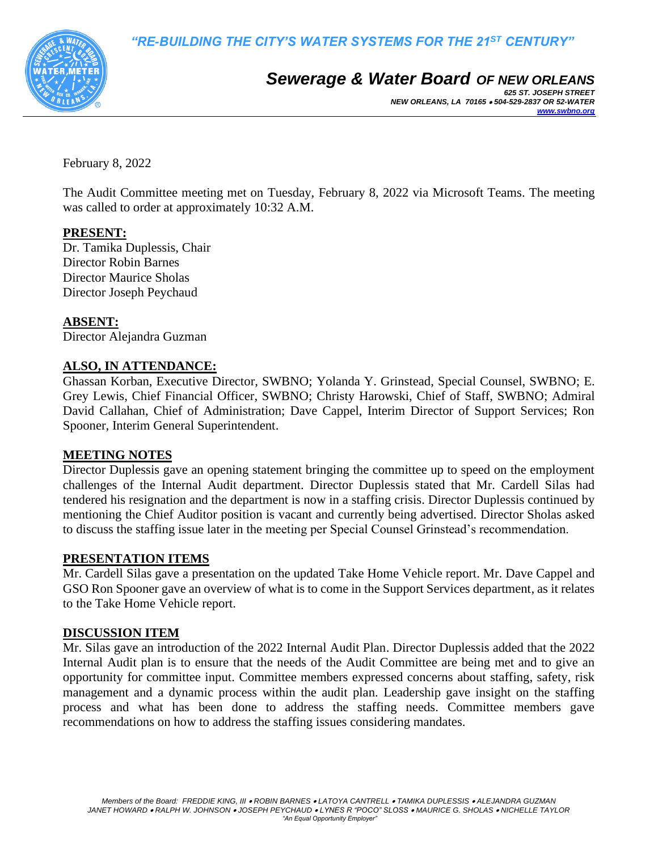

# *Sewerage & Water Board OF NEW ORLEANS*

*625 ST. JOSEPH STREET NEW ORLEANS, LA 70165* • *504-529-2837 OR 52-WATER [www.swbno.org](http://www.swbno.org/)*

February 8, 2022

The Audit Committee meeting met on Tuesday, February 8, 2022 via Microsoft Teams. The meeting was called to order at approximately 10:32 A.M.

# **PRESENT:**

Dr. Tamika Duplessis, Chair Director Robin Barnes Director Maurice Sholas Director Joseph Peychaud

# **ABSENT:**

Director Alejandra Guzman

# **ALSO, IN ATTENDANCE:**

Ghassan Korban, Executive Director, SWBNO; Yolanda Y. Grinstead, Special Counsel, SWBNO; E. Grey Lewis, Chief Financial Officer, SWBNO; Christy Harowski, Chief of Staff, SWBNO; Admiral David Callahan, Chief of Administration; Dave Cappel, Interim Director of Support Services; Ron Spooner, Interim General Superintendent.

#### **MEETING NOTES**

Director Duplessis gave an opening statement bringing the committee up to speed on the employment challenges of the Internal Audit department. Director Duplessis stated that Mr. Cardell Silas had tendered his resignation and the department is now in a staffing crisis. Director Duplessis continued by mentioning the Chief Auditor position is vacant and currently being advertised. Director Sholas asked to discuss the staffing issue later in the meeting per Special Counsel Grinstead's recommendation.

#### **PRESENTATION ITEMS**

Mr. Cardell Silas gave a presentation on the updated Take Home Vehicle report. Mr. Dave Cappel and GSO Ron Spooner gave an overview of what is to come in the Support Services department, as it relates to the Take Home Vehicle report.

#### **DISCUSSION ITEM**

Mr. Silas gave an introduction of the 2022 Internal Audit Plan. Director Duplessis added that the 2022 Internal Audit plan is to ensure that the needs of the Audit Committee are being met and to give an opportunity for committee input. Committee members expressed concerns about staffing, safety, risk management and a dynamic process within the audit plan. Leadership gave insight on the staffing process and what has been done to address the staffing needs. Committee members gave recommendations on how to address the staffing issues considering mandates.